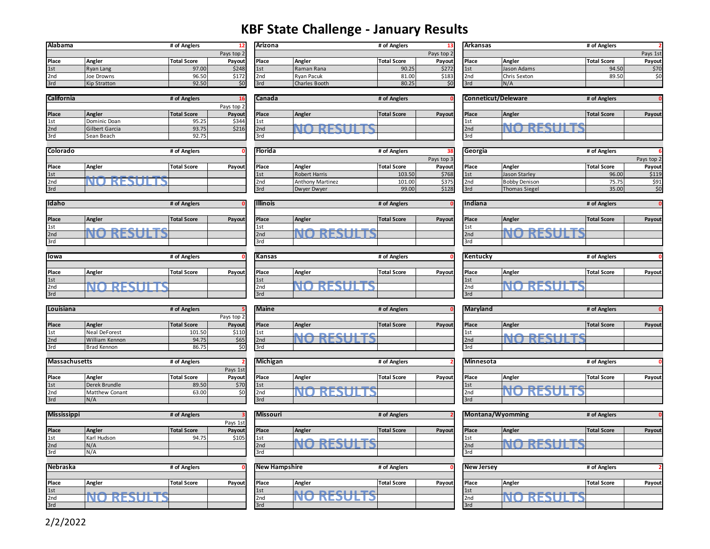## **KBF State Challenge - January Results**

| Alabama         |                     | # of Anglers       |            | Arizona         |               | # of Anglers       |            | <b>Arkansas</b> |              | # of Anglers       |          |
|-----------------|---------------------|--------------------|------------|-----------------|---------------|--------------------|------------|-----------------|--------------|--------------------|----------|
|                 |                     |                    | Pays top 2 |                 |               |                    | Pays top 2 |                 |              |                    | Pays 1st |
| <b>Place</b>    | Angler              | <b>Total Score</b> | Pavout     | <b>Place</b>    | Angler        | <b>Total Score</b> | Pavoutl    | l Place         | Angler       | <b>Total Score</b> | Payout   |
| 1st             | <b>Ryan Lang</b>    | 97.00              | \$248      | 1st             | Raman Rana    | 90.25              | \$272      | 1st             | Jason Adams  | 94.50              | \$70     |
| 2 <sub>nd</sub> | Joe Drowns          | 96.50              | \$172      | 2 <sub>nc</sub> | Ryan Pacuk    | 81.00              | \$183      | l 2nd           | Chris Sexton | 89.50              | ċ٥       |
| 3rd             | <b>Kip Stratton</b> | 92.50              |            | 3rd             | Charles Booth | 80.25              | \$0.       | 3rd             | N/A          |                    |          |

| <b>California</b> |                       | # of Anglers       |            | Canada          |                         | # of Anglers       |        |                 | <b>Conneticut/Deleware</b> | # of Anglers       |        |
|-------------------|-----------------------|--------------------|------------|-----------------|-------------------------|--------------------|--------|-----------------|----------------------------|--------------------|--------|
|                   |                       |                    | Pays top 2 |                 |                         |                    |        |                 |                            |                    |        |
| Place             | Angler                | <b>Total Score</b> | Payout     | <b>IPlace</b>   | Angler                  | <b>Total Score</b> | Payout | <b>Place</b>    | Angler                     | <b>Total Score</b> | Payout |
| 1st               | Dominic Doan          | 95.25              | \$344      |                 | <b>CONTRACTOR</b><br>__ |                    |        | l 1st           | <b>ALAMARALLEA</b>         |                    |        |
| 2nd               | <b>Gilbert Garcia</b> | 93.75              | \$216      | 2 <sub>nd</sub> |                         |                    |        | 2 <sub>nd</sub> |                            |                    |        |
| 3rd               | Sean Beach            | 92.75              |            | 13ra            |                         |                    |        | 13rd            |                            |                    |        |

| Colorado |        | # of Anglers       |        |
|----------|--------|--------------------|--------|
| Place    | Angler | <b>Total Score</b> | Payout |
| 1st      |        |                    |        |
| 2nd      |        |                    |        |
| 3rd      |        |                    |        |

| Arizona         |                   | # of Anglers       | 13 <sup>1</sup> |                |                                                 | # of Anglers       |          |
|-----------------|-------------------|--------------------|-----------------|----------------|-------------------------------------------------|--------------------|----------|
|                 |                   |                    | Pays top 2      |                |                                                 |                    | Pays 1st |
| Place           | Angler            | <b>Total Score</b> | Pavoutl         |                | Angler                                          | <b>Total Score</b> | Pavout   |
| 1st             | Raman Rana        |                    | \$272           |                | Jason Adams                                     | 94.50              | \$70     |
| 2n <sub>0</sub> | <b>Rvan Pacuk</b> |                    | \$183           |                | <b>Chris Sexton</b>                             | 89.50              | \$0      |
| 3rd             | Charles Booth     | 80.25              | \$0             |                | N/A                                             |                    |          |
|                 |                   |                    |                 | 90.25<br>81.00 | l Arkansas<br><b>Place</b><br>1st<br>2nd<br>3rd |                    |          |

|        | # of Anglers       |        | Conn  |
|--------|--------------------|--------|-------|
|        |                    |        |       |
| Angler | <b>Total Score</b> | Payout | Place |
|        |                    |        | 1st   |
|        |                    |        | 2nd   |
|        |                    |        | 2r    |

| Florida |                         | # of Anglers       | 381        |
|---------|-------------------------|--------------------|------------|
|         |                         |                    | Pays top 3 |
| Place   | Angler                  | <b>Total Score</b> | Payout     |
| 1st     | <b>Robert Harris</b>    | 103.50             | \$768      |
| 2nd     | <b>Anthony Martinez</b> | 101.00             | \$375      |
| 3rd     | Dwyer Dwyer             | 99.00              | \$128      |

| Place | Angler       | <b>Total Score</b> | Payout |
|-------|--------------|--------------------|--------|
| 1st   | Jason Adams  | 94.50              | \$70l  |
| 2nd   | Chris Sexton | 89.50              | ŚO     |
| 3rd   | N/A          |                    |        |

|       |                |                    |            | .             |        | 11.0111            |        | 1991:1156:00 t/ D City Wal C |                    |                    |        |
|-------|----------------|--------------------|------------|---------------|--------|--------------------|--------|------------------------------|--------------------|--------------------|--------|
|       |                |                    | Pays top 2 |               |        |                    |        |                              |                    |                    |        |
| Place | Angler         | <b>Total Score</b> | Payout     | <b>IPlace</b> | Angler | <b>Total Score</b> | Payout | l Place                      | Angler             | <b>Total Score</b> | Payout |
| 1st   | Dominic Doan   | 95.25              | \$344      | 11st          | ______ |                    |        |                              | <b>ALAMARALIEA</b> |                    |        |
| 2nd   | Gilbert Garcia | 93.75              | \$216      | 2nd           |        |                    |        | 2nc                          |                    |                    |        |
|       | Sean Beach     | 92.75              |            | - 13ru        | ___    |                    |        | 13rd                         |                    |                    |        |

| Colorado |        | # of Anglers       |        | <b>Florida</b> |                         | # of Anglers       |            | <b>Seorgia</b>   |                      | # of Anglers       |            |
|----------|--------|--------------------|--------|----------------|-------------------------|--------------------|------------|------------------|----------------------|--------------------|------------|
|          |        |                    |        |                |                         |                    | Pays top 3 |                  |                      |                    | Pays top 2 |
| Place    | Angler | <b>Total Score</b> | Payout | Place          | Angler                  | <b>Total Score</b> | Payoutl    | <b>Place</b>     | Angler               | <b>Total Score</b> | Payout     |
| 1st      |        |                    |        | 1st            | <b>Robert Harris</b>    | 103.50             | \$768      | 1st              | Jason Starley        | 96.00              | \$119      |
| 2nd      |        |                    |        | 12nc           | <b>Anthony Martinez</b> | 101.00             | \$375      | I <sub>2nd</sub> | <b>Bobby Denison</b> | 75.75              | \$91       |
| 3rd      |        |                    |        | 3rd            | Dwyer Dwyer             | 99.00              | \$128      | 3rd              | Thomas Siegel        | 35.00              |            |

| Idaho |                    | # of Anglers       |        | <b>Illinois</b> |                 | # of Anglers       |        | Indiana         |                    | # of Anglers       |        |
|-------|--------------------|--------------------|--------|-----------------|-----------------|--------------------|--------|-----------------|--------------------|--------------------|--------|
|       |                    |                    |        |                 |                 |                    |        |                 |                    |                    |        |
| Place | Angler             | <b>Total Score</b> | Payout | Place           | Angler          | <b>Total Score</b> | Payout | Place           | Angler             | <b>Total Score</b> | Payout |
| 1st   | <b>AIA BEALLEA</b> |                    |        | $\sqrt{15}$     | ________<br>--- |                    |        | l 1st           | <b>ALAMARALLEA</b> |                    |        |
| 2nd   |                    |                    |        | 2nd             |                 |                    |        | 2 <sub>nd</sub> |                    |                    |        |
| 3rd   |                    |                    |        | 3rd             |                 |                    |        | 3rd             |                    |                    |        |
|       |                    |                    |        |                 |                 |                    |        |                 |                    |                    |        |
| lowa  |                    | # of Anglers       |        | Kansas          |                 | # of Anglers       |        | Kentucky        |                    | # of Anglers       |        |
|       |                    |                    |        |                 |                 |                    |        |                 |                    |                    |        |

| 11 U Wd      |        | # Or Anglers       |        | INdiisds        |        | <b>H</b> Of Anglers |        | 1 N.C        |    |
|--------------|--------|--------------------|--------|-----------------|--------|---------------------|--------|--------------|----|
|              |        |                    |        |                 |        |                     |        |              |    |
| <b>Place</b> | Angler | <b>Total Score</b> | Pavout | <b>IPlace</b>   | Angler | <b>Total Score</b>  | Payout | <b>I</b> Pla |    |
| 1st          | - -    |                    |        | 1st             |        |                     |        | 1st          |    |
| 2nd          | --     |                    |        | 2 <sub>nd</sub> |        |                     |        |              | 2n |
| 3rd          |        |                    |        | 3rd             |        |                     |        | 3rc          |    |

| Louisiana |                | # of Anglers       |            | <b>Maine</b>    |               | # of Anglers       | Ma              |
|-----------|----------------|--------------------|------------|-----------------|---------------|--------------------|-----------------|
|           |                |                    | Pays top 2 |                 |               |                    |                 |
| Place     | Angler         | <b>Total Score</b> | Pavout     | <b>Place</b>    | Angler        | <b>Total Score</b> | Plac<br>Pavout  |
| 1st       | Neal DeForest  | 101.50             | \$110      | 1st             | <b>COLUMN</b> |                    | 1st             |
| 2nd       | William Kennon | 94.75              | \$65       | 2 <sub>nd</sub> |               |                    | 2 <sub>nd</sub> |
| 3rd       | Brad Kennon    | 86.75              | \$0        | 3rd             |               |                    | 3rd             |

| <b>Massachusetts</b> |                | # of Anglers       |          | <b>Michigan</b> |         | # of Anglers       |         | <b>Mil</b>      |
|----------------------|----------------|--------------------|----------|-----------------|---------|--------------------|---------|-----------------|
|                      |                |                    | Pays 1st |                 |         |                    |         |                 |
| Place                | Angler         | <b>Total Score</b> | Pavout   | Place           | Angler  | <b>Total Score</b> | Pavoutl | <b>Plac</b>     |
| 1st                  | Derek Brundle  | 89.50              | \$70     | 1st             | ------- |                    |         | 1st             |
| 2 <sub>nd</sub>      | Matthew Conant | 63.00              | \$0      | 2 <sub>nd</sub> |         |                    |         | 2 <sub>nd</sub> |
| 3rd                  | N/A            |                    |          | 3rd             |         |                    |         | 3rd             |

| <b>Mississippi</b> |             | # of Anglers       |          | <b>Missouri</b> | # of Anglers  |                    |                |  |  |  |
|--------------------|-------------|--------------------|----------|-----------------|---------------|--------------------|----------------|--|--|--|
|                    |             |                    | Pays 1st |                 |               |                    |                |  |  |  |
| Place              | Angler      | <b>Total Score</b> | Pavout   | <b>Place</b>    | Angler        | <b>Total Score</b> | Plac<br>Pavout |  |  |  |
| 1st                | Karl Hudson | 94.75              | \$105    | 1st             | <b>PALLED</b> |                    | 1st            |  |  |  |
| 2nd                | N/A         |                    |          | 2 <sub>nd</sub> |               |                    | 2nd            |  |  |  |
| 3rd                | N/A         |                    |          | 13rd            |               |                    | 3rd            |  |  |  |

| Nebraska |        | # of Anglers       | п.      | New Hampshire   |        | # of Anglers       |        | 1Ne          |
|----------|--------|--------------------|---------|-----------------|--------|--------------------|--------|--------------|
|          |        |                    |         |                 |        |                    |        |              |
| Place    | Angler | <b>Total Score</b> | Pavoutl | Place           | Angler | <b>Total Score</b> | Pavout | <b>I</b> Pla |
| 1st      |        |                    |         | 1st             |        |                    |        | 1st          |
| 2nd      |        |                    |         | 2 <sub>nd</sub> |        |                    |        | 2nc          |
| 3rd      |        |                    |         | 3rd             |        |                    |        | 3rd          |

|                    | # of Anglers       |        | <b>Illinois</b> | # of Anglers     |                    |        | Indiana         |                    |  |  |
|--------------------|--------------------|--------|-----------------|------------------|--------------------|--------|-----------------|--------------------|--|--|
|                    |                    |        |                 |                  |                    |        |                 |                    |  |  |
| Angler             | <b>Total Score</b> | Payout | <b>Place</b>    | Angler           | <b>Total Score</b> | Pavout | <b>Place</b>    | Angler             |  |  |
| <b>ALA BEALURA</b> |                    |        | 1st             | -------<br>- - - |                    |        | 1st             | <b>ALA BEALURA</b> |  |  |
|                    |                    |        | 2 <sub>nd</sub> |                  |                    |        | 2 <sub>nd</sub> |                    |  |  |
|                    |                    |        | 3rd             |                  |                    |        | 3rd             |                    |  |  |
|                    |                    |        |                 |                  |                    |        |                 |                    |  |  |



| <b>Maine</b> | # of Anglers  |                    | <b>Maryland</b> |       |                             |
|--------------|---------------|--------------------|-----------------|-------|-----------------------------|
|              |               |                    |                 |       |                             |
| Place        | Angler        | <b>Total Score</b> | Payout          | Place | Angler                      |
| 1st          | <b>PALLED</b> |                    |                 | 1st   | $\mathbf{r}$ , $\mathbf{r}$ |
| 2nd          |               |                    |                 | 2nd   |                             |
| 3rd          |               |                    |                 | 3rd   |                             |

| <b>Michigan</b> |        | # of Anglers       |        | <b>Minnesota</b> |        |  |  |  |  |
|-----------------|--------|--------------------|--------|------------------|--------|--|--|--|--|
|                 |        |                    |        |                  |        |  |  |  |  |
| Place           | Angler | <b>Total Score</b> | Payout | <b>Place</b>     | Angler |  |  |  |  |
| 1st             |        |                    |        | 1st              |        |  |  |  |  |
| 2 <sub>nd</sub> |        |                    |        | 2 <sub>nd</sub>  |        |  |  |  |  |
| 3rd             |        |                    |        | 3rd              |        |  |  |  |  |

| Angler | Payou                              |
|--------|------------------------------------|
| --     |                                    |
|        |                                    |
|        |                                    |
|        | # of Anglers<br><b>Total Score</b> |

| Nebraska |                | # of Anglers       |        | <b>New Hampshire</b> |        | # of Anglers       |        | New Jersey |         | # of Anglers       |        |
|----------|----------------|--------------------|--------|----------------------|--------|--------------------|--------|------------|---------|--------------------|--------|
|          |                |                    |        |                      |        |                    |        |            |         |                    |        |
| Place    | Angler         | <b>Total Score</b> | Payout | <b>Place</b>         | Angler | <b>Total Score</b> | Payout | Place      | Angler  | <b>Total Score</b> | Payout |
| 1st      | ------<br>---- |                    |        | 1st                  |        |                    |        | 1st        | ------- |                    |        |
| 2nd      | ___            |                    |        | 12n                  |        |                    |        | 12nc       | _____   |                    |        |
| ?rd      |                |                    |        | 3rd                  |        |                    |        | R          |         |                    |        |

| Idaho |        | # of Anglers       |        | <b>Illinois</b> |         | # of Anglers       |        | Indiana         |               | # of Anglers       |        |
|-------|--------|--------------------|--------|-----------------|---------|--------------------|--------|-----------------|---------------|--------------------|--------|
|       |        |                    |        |                 |         |                    |        |                 |               |                    |        |
| Place | Angler | <b>Total Score</b> | Payout | Place           | Angler  | <b>Total Score</b> | Payout | <b>Place</b>    | Angler        | <b>Total Score</b> | Payout |
| 1st   |        |                    |        | l 1st           | _______ |                    |        | l 1st           | ------<br>--- |                    |        |
| 2nd   |        |                    |        | 2 <sub>nd</sub> |         |                    |        | 2 <sub>nd</sub> |               |                    |        |
| 3rd   |        |                    |        | 13ra            |         |                    |        | l 3r            |               |                    |        |
|       |        |                    |        |                 |         |                    |        |                 |               |                    |        |
| lowa  |        | # of Anglers       |        | Kansas          |         | # of Anglers       |        | Kentucky        |               | # of Anglers       |        |

|       |                  |                    |        |                  | .      |                    |               | .<br>--     |                      |                    |        |
|-------|------------------|--------------------|--------|------------------|--------|--------------------|---------------|-------------|----------------------|--------------------|--------|
|       |                  |                    |        |                  |        |                    |               |             |                      |                    |        |
| Place | Angler           | <b>Total Score</b> | Payout | Place            | Angler | <b>Total Score</b> | <b>Payout</b> | I Place     | Angler               | <b>Total Score</b> | Payout |
| 1st   | --------         |                    |        | 1st              |        |                    |               | $\vert$ 1st | <b>ALAMARY ALLEY</b> |                    |        |
| 2nd   |                  |                    |        | 12 <sub>na</sub> | __     |                    |               | 12n         | ___                  |                    |        |
| 3rd   | _________<br>___ |                    |        | 3rd              |        |                    |               | 3rd         |                      |                    |        |

| Louisiana     |                    | # of Anglers       |            | <b>Maine</b>    |                | # of Anglers       |        | Maryland         |                                 | # of Anglers       |        |
|---------------|--------------------|--------------------|------------|-----------------|----------------|--------------------|--------|------------------|---------------------------------|--------------------|--------|
|               |                    |                    | Pays top 2 |                 |                |                    |        |                  |                                 |                    |        |
| Place         | Angler             | <b>Total Score</b> | Payout     | Place           | Angler         | <b>Total Score</b> | Payout | Place            | Angler                          | <b>Total Score</b> | Payout |
| 1st           | Neal DeForest      | 101.50             | \$110      | LST             | <b>BEALLEA</b> |                    |        | ŦЭ               | <b>BEALLEA</b>                  |                    |        |
| 2nd           | William Kennon     | 94.75              | \$65       | 2nd             |                |                    |        | 2 <sub>nd</sub>  |                                 |                    |        |
| 3rd           | <b>Brad Kennon</b> | 86.75              |            | 3rd             |                |                    |        |                  |                                 |                    |        |
|               |                    |                    |            |                 |                |                    |        |                  |                                 |                    |        |
| Massachusetts |                    | # of Anglers       |            | <b>Michigan</b> |                | # of Anglers       |        | <b>Minnesota</b> |                                 | # of Anglers       |        |
|               |                    |                    | Pays 1st   |                 |                |                    |        |                  |                                 |                    |        |
| Place         | Angler             | <b>Total Score</b> | Payout     | Place           | Angler         | <b>Total Score</b> | Payout | Place            | Angler                          | <b>Total Score</b> | Payout |
| 1st           | Derek Brundle      | 89.50              | \$70       | 1st             |                |                    |        | 1st              | <b>BEALLYA</b><br><b>BUT AN</b> |                    |        |
| 2nd           | Matthew Conant     | 63.00              |            | 2 <sub>nd</sub> |                |                    |        | 2 <sub>nd</sub>  | -                               |                    |        |

| Mississippi |                          | # of Anglers       |          | Missouri             |                                                                                                                                                                                                                                                                                                                                                                                                                                   | # of Anglers       |        | Montana/Wyomming  |          | # of Anglers       |        |
|-------------|--------------------------|--------------------|----------|----------------------|-----------------------------------------------------------------------------------------------------------------------------------------------------------------------------------------------------------------------------------------------------------------------------------------------------------------------------------------------------------------------------------------------------------------------------------|--------------------|--------|-------------------|----------|--------------------|--------|
|             |                          |                    | Pays 1st |                      |                                                                                                                                                                                                                                                                                                                                                                                                                                   |                    |        |                   |          |                    |        |
| Place       | Angler                   | <b>Total Score</b> | Payout   | Place                | Angler                                                                                                                                                                                                                                                                                                                                                                                                                            | <b>Total Score</b> | Payout | Place             | Angler   | <b>Total Score</b> | Payout |
| 1st         | Karl Hudson              | 94.75              | \$105    | 1st                  | $\begin{array}{c} \n\mathbf{A} & \mathbf{B} & \mathbf{A} & \mathbf{B} & \mathbf{B} & \mathbf{B} & \mathbf{B} & \mathbf{B} & \mathbf{B} & \mathbf{B} & \mathbf{B} & \mathbf{B} & \mathbf{B} & \mathbf{B} & \mathbf{B} & \mathbf{B} & \mathbf{B} & \mathbf{B} & \mathbf{B} & \mathbf{B} & \mathbf{B} & \mathbf{B} & \mathbf{B} & \mathbf{B} & \mathbf{B} & \mathbf{B} & \mathbf{B} & \mathbf{B} & \mathbf{B} & \mathbf{B} & \$<br>. |                    |        | LSL               | -------  |                    |        |
| 2nd         | N/A                      |                    |          | 2nd                  |                                                                                                                                                                                                                                                                                                                                                                                                                                   |                    |        | 2 <sub>nd</sub>   |          |                    |        |
| 3rd         | N/A                      |                    |          | 3rd                  |                                                                                                                                                                                                                                                                                                                                                                                                                                   |                    |        | l 3rd             |          |                    |        |
|             |                          |                    |          |                      |                                                                                                                                                                                                                                                                                                                                                                                                                                   |                    |        |                   |          |                    |        |
| Nebraska    | # of Anglers             |                    |          | <b>New Hampshire</b> |                                                                                                                                                                                                                                                                                                                                                                                                                                   | # of Anglers       |        | <b>New Jersey</b> |          | # of Anglers       |        |
|             |                          |                    |          |                      |                                                                                                                                                                                                                                                                                                                                                                                                                                   |                    |        |                   |          |                    |        |
| Place       | Angler                   | <b>Total Score</b> | Payout   | Place                | Angler                                                                                                                                                                                                                                                                                                                                                                                                                            | <b>Total Score</b> | Payout | Place             | Angler   | <b>Total Score</b> | Payout |
| 1st         | ---<br><b>CONTRACTOR</b> |                    |          | 1st                  | $\mathbf{N}$ $\mathbf{N}$ $\mathbf{N}$ $\mathbf{N}$ $\mathbf{N}$ $\mathbf{N}$ $\mathbf{N}$ $\mathbf{N}$                                                                                                                                                                                                                                                                                                                           |                    |        | 1st               | ________ |                    |        |
| 2nd         |                          |                    |          | 2 <sub>nd</sub>      |                                                                                                                                                                                                                                                                                                                                                                                                                                   |                    |        | 2 <sub>nd</sub>   |          |                    |        |
| 3rd         |                          |                    |          | 3rd                  |                                                                                                                                                                                                                                                                                                                                                                                                                                   |                    |        | 3rd               |          |                    |        |